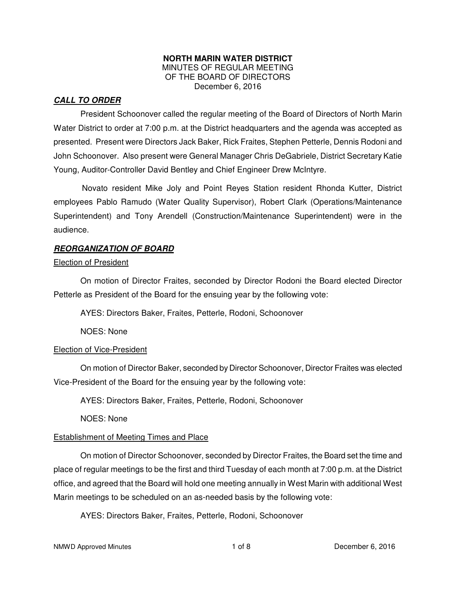#### **NORTH MARIN WATER DISTRICT**  MINUTES OF REGULAR MEETING OF THE BOARD OF DIRECTORS December 6, 2016

## **CALL TO ORDER**

President Schoonover called the regular meeting of the Board of Directors of North Marin Water District to order at 7:00 p.m. at the District headquarters and the agenda was accepted as presented. Present were Directors Jack Baker, Rick Fraites, Stephen Petterle, Dennis Rodoni and John Schoonover. Also present were General Manager Chris DeGabriele, District Secretary Katie Young, Auditor-Controller David Bentley and Chief Engineer Drew McIntyre.

Novato resident Mike Joly and Point Reyes Station resident Rhonda Kutter, District employees Pablo Ramudo (Water Quality Supervisor), Robert Clark (Operations/Maintenance Superintendent) and Tony Arendell (Construction/Maintenance Superintendent) were in the audience.

### **REORGANIZATION OF BOARD**

#### Election of President

 On motion of Director Fraites, seconded by Director Rodoni the Board elected Director Petterle as President of the Board for the ensuing year by the following vote:

AYES: Directors Baker, Fraites, Petterle, Rodoni, Schoonover

NOES: None

## Election of Vice-President

 On motion of Director Baker, seconded by Director Schoonover, Director Fraites was elected Vice-President of the Board for the ensuing year by the following vote:

AYES: Directors Baker, Fraites, Petterle, Rodoni, Schoonover

NOES: None

## Establishment of Meeting Times and Place

 On motion of Director Schoonover, seconded by Director Fraites, the Board set the time and place of regular meetings to be the first and third Tuesday of each month at 7:00 p.m. at the District office, and agreed that the Board will hold one meeting annually in West Marin with additional West Marin meetings to be scheduled on an as-needed basis by the following vote:

AYES: Directors Baker, Fraites, Petterle, Rodoni, Schoonover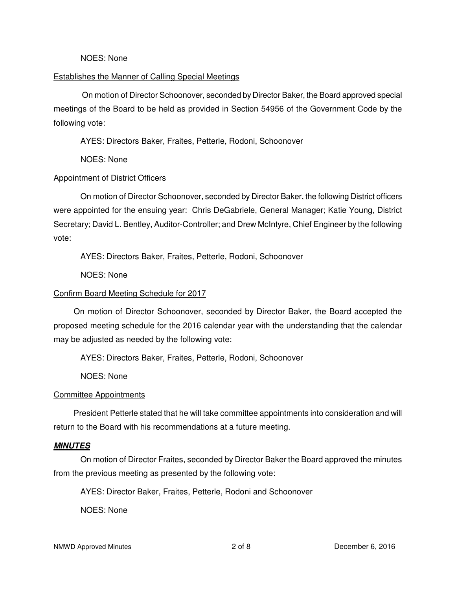#### NOES: None

#### Establishes the Manner of Calling Special Meetings

On motion of Director Schoonover, seconded by Director Baker, the Board approved special meetings of the Board to be held as provided in Section 54956 of the Government Code by the following vote:

AYES: Directors Baker, Fraites, Petterle, Rodoni, Schoonover

NOES: None

### Appointment of District Officers

 On motion of Director Schoonover, seconded by Director Baker, the following District officers were appointed for the ensuing year: Chris DeGabriele, General Manager; Katie Young, District Secretary; David L. Bentley, Auditor-Controller; and Drew McIntyre, Chief Engineer by the following vote:

AYES: Directors Baker, Fraites, Petterle, Rodoni, Schoonover

NOES: None

### Confirm Board Meeting Schedule for 2017

 On motion of Director Schoonover, seconded by Director Baker, the Board accepted the proposed meeting schedule for the 2016 calendar year with the understanding that the calendar may be adjusted as needed by the following vote:

AYES: Directors Baker, Fraites, Petterle, Rodoni, Schoonover

NOES: None

#### Committee Appointments

 President Petterle stated that he will take committee appointments into consideration and will return to the Board with his recommendations at a future meeting.

#### **MINUTES**

 On motion of Director Fraites, seconded by Director Baker the Board approved the minutes from the previous meeting as presented by the following vote:

AYES: Director Baker, Fraites, Petterle, Rodoni and Schoonover

NOES: None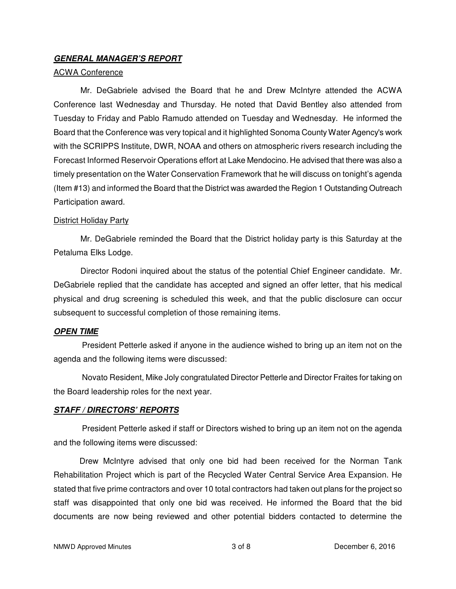### **GENERAL MANAGER'S REPORT**

#### ACWA Conference

 Mr. DeGabriele advised the Board that he and Drew McIntyre attended the ACWA Conference last Wednesday and Thursday. He noted that David Bentley also attended from Tuesday to Friday and Pablo Ramudo attended on Tuesday and Wednesday. He informed the Board that the Conference was very topical and it highlighted Sonoma County Water Agency's work with the SCRIPPS Institute, DWR, NOAA and others on atmospheric rivers research including the Forecast Informed Reservoir Operations effort at Lake Mendocino. He advised that there was also a timely presentation on the Water Conservation Framework that he will discuss on tonight's agenda (Item #13) and informed the Board that the District was awarded the Region 1 Outstanding Outreach Participation award.

#### District Holiday Party

 Mr. DeGabriele reminded the Board that the District holiday party is this Saturday at the Petaluma Elks Lodge.

 Director Rodoni inquired about the status of the potential Chief Engineer candidate. Mr. DeGabriele replied that the candidate has accepted and signed an offer letter, that his medical physical and drug screening is scheduled this week, and that the public disclosure can occur subsequent to successful completion of those remaining items.

#### **OPEN TIME**

President Petterle asked if anyone in the audience wished to bring up an item not on the agenda and the following items were discussed:

Novato Resident, Mike Joly congratulated Director Petterle and Director Fraites for taking on the Board leadership roles for the next year.

#### **STAFF / DIRECTORS' REPORTS**

President Petterle asked if staff or Directors wished to bring up an item not on the agenda and the following items were discussed:

 Drew McIntyre advised that only one bid had been received for the Norman Tank Rehabilitation Project which is part of the Recycled Water Central Service Area Expansion. He stated that five prime contractors and over 10 total contractors had taken out plans for the project so staff was disappointed that only one bid was received. He informed the Board that the bid documents are now being reviewed and other potential bidders contacted to determine the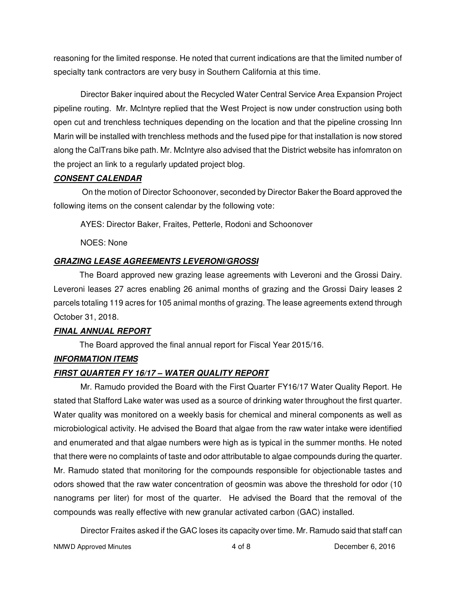reasoning for the limited response. He noted that current indications are that the limited number of specialty tank contractors are very busy in Southern California at this time.

 Director Baker inquired about the Recycled Water Central Service Area Expansion Project pipeline routing. Mr. McIntyre replied that the West Project is now under construction using both open cut and trenchless techniques depending on the location and that the pipeline crossing Inn Marin will be installed with trenchless methods and the fused pipe for that installation is now stored along the CalTrans bike path. Mr. McIntyre also advised that the District website has infomraton on the project an link to a regularly updated project blog.

## **CONSENT CALENDAR**

On the motion of Director Schoonover, seconded by Director Baker the Board approved the following items on the consent calendar by the following vote:

AYES: Director Baker, Fraites, Petterle, Rodoni and Schoonover

NOES: None

# **GRAZING LEASE AGREEMENTS LEVERONI/GROSSI**

 The Board approved new grazing lease agreements with Leveroni and the Grossi Dairy. Leveroni leases 27 acres enabling 26 animal months of grazing and the Grossi Dairy leases 2 parcels totaling 119 acres for 105 animal months of grazing. The lease agreements extend through October 31, 2018.

# **FINAL ANNUAL REPORT**

The Board approved the final annual report for Fiscal Year 2015/16.

# **INFORMATION ITEMS**

# **FIRST QUARTER FY 16/17 – WATER QUALITY REPORT**

Mr. Ramudo provided the Board with the First Quarter FY16/17 Water Quality Report. He stated that Stafford Lake water was used as a source of drinking water throughout the first quarter. Water quality was monitored on a weekly basis for chemical and mineral components as well as microbiological activity. He advised the Board that algae from the raw water intake were identified and enumerated and that algae numbers were high as is typical in the summer months. He noted that there were no complaints of taste and odor attributable to algae compounds during the quarter. Mr. Ramudo stated that monitoring for the compounds responsible for objectionable tastes and odors showed that the raw water concentration of geosmin was above the threshold for odor (10 nanograms per liter) for most of the quarter. He advised the Board that the removal of the compounds was really effective with new granular activated carbon (GAC) installed.

Director Fraites asked if the GAC loses its capacity over time. Mr. Ramudo said that staff can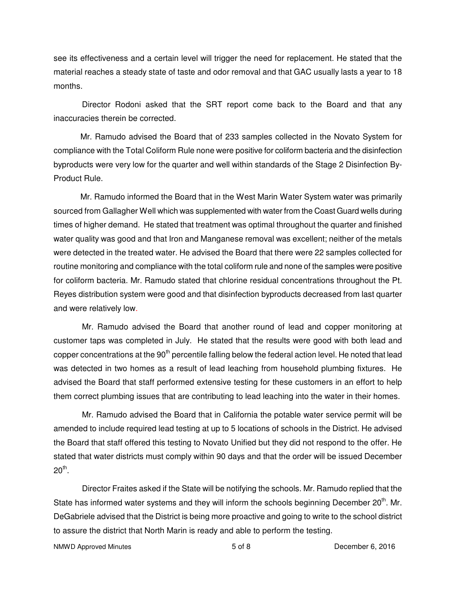see its effectiveness and a certain level will trigger the need for replacement. He stated that the material reaches a steady state of taste and odor removal and that GAC usually lasts a year to 18 months.

Director Rodoni asked that the SRT report come back to the Board and that any inaccuracies therein be corrected.

 Mr. Ramudo advised the Board that of 233 samples collected in the Novato System for compliance with the Total Coliform Rule none were positive for coliform bacteria and the disinfection byproducts were very low for the quarter and well within standards of the Stage 2 Disinfection By-Product Rule.

 Mr. Ramudo informed the Board that in the West Marin Water System water was primarily sourced from Gallagher Well which was supplemented with water from the Coast Guard wells during times of higher demand. He stated that treatment was optimal throughout the quarter and finished water quality was good and that Iron and Manganese removal was excellent; neither of the metals were detected in the treated water. He advised the Board that there were 22 samples collected for routine monitoring and compliance with the total coliform rule and none of the samples were positive for coliform bacteria. Mr. Ramudo stated that chlorine residual concentrations throughout the Pt. Reyes distribution system were good and that disinfection byproducts decreased from last quarter and were relatively low.

Mr. Ramudo advised the Board that another round of lead and copper monitoring at customer taps was completed in July. He stated that the results were good with both lead and copper concentrations at the 90<sup>th</sup> percentile falling below the federal action level. He noted that lead was detected in two homes as a result of lead leaching from household plumbing fixtures. He advised the Board that staff performed extensive testing for these customers in an effort to help them correct plumbing issues that are contributing to lead leaching into the water in their homes.

Mr. Ramudo advised the Board that in California the potable water service permit will be amended to include required lead testing at up to 5 locations of schools in the District. He advised the Board that staff offered this testing to Novato Unified but they did not respond to the offer. He stated that water districts must comply within 90 days and that the order will be issued December  $20^{\mathsf{th}}.$ 

Director Fraites asked if the State will be notifying the schools. Mr. Ramudo replied that the State has informed water systems and they will inform the schools beginning December  $20<sup>th</sup>$ . Mr. DeGabriele advised that the District is being more proactive and going to write to the school district to assure the district that North Marin is ready and able to perform the testing.

NMWD Approved Minutes **NAMW 5 of 8** December 6, 2016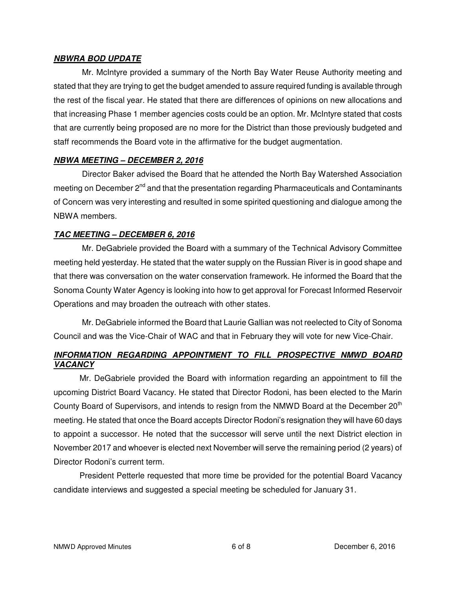#### **NBWRA BOD UPDATE**

Mr. McIntyre provided a summary of the North Bay Water Reuse Authority meeting and stated that they are trying to get the budget amended to assure required funding is available through the rest of the fiscal year. He stated that there are differences of opinions on new allocations and that increasing Phase 1 member agencies costs could be an option. Mr. McIntyre stated that costs that are currently being proposed are no more for the District than those previously budgeted and staff recommends the Board vote in the affirmative for the budget augmentation.

## **NBWA MEETING – DECEMBER 2, 2016**

Director Baker advised the Board that he attended the North Bay Watershed Association meeting on December 2<sup>nd</sup> and that the presentation regarding Pharmaceuticals and Contaminants of Concern was very interesting and resulted in some spirited questioning and dialogue among the NBWA members.

## **TAC MEETING – DECEMBER 6, 2016**

Mr. DeGabriele provided the Board with a summary of the Technical Advisory Committee meeting held yesterday. He stated that the water supply on the Russian River is in good shape and that there was conversation on the water conservation framework. He informed the Board that the Sonoma County Water Agency is looking into how to get approval for Forecast Informed Reservoir Operations and may broaden the outreach with other states.

Mr. DeGabriele informed the Board that Laurie Gallian was not reelected to City of Sonoma Council and was the Vice-Chair of WAC and that in February they will vote for new Vice-Chair.

## **INFORMATION REGARDING APPOINTMENT TO FILL PROSPECTIVE NMWD BOARD VACANCY**

 Mr. DeGabriele provided the Board with information regarding an appointment to fill the upcoming District Board Vacancy. He stated that Director Rodoni, has been elected to the Marin County Board of Supervisors, and intends to resign from the NMWD Board at the December  $20<sup>th</sup>$ meeting. He stated that once the Board accepts Director Rodoni's resignation they will have 60 days to appoint a successor. He noted that the successor will serve until the next District election in November 2017 and whoever is elected next November will serve the remaining period (2 years) of Director Rodoni's current term.

 President Petterle requested that more time be provided for the potential Board Vacancy candidate interviews and suggested a special meeting be scheduled for January 31.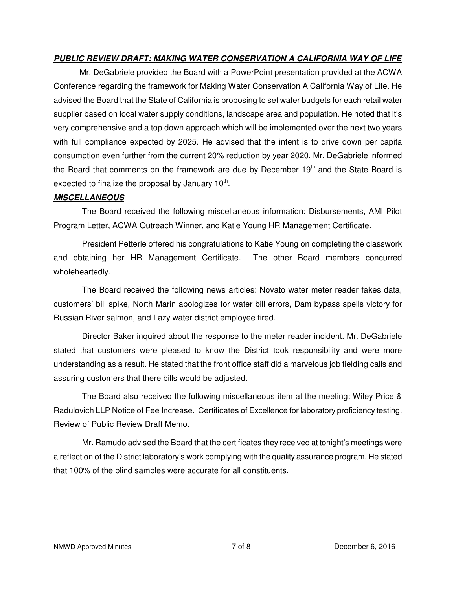## **PUBLIC REVIEW DRAFT: MAKING WATER CONSERVATION A CALIFORNIA WAY OF LIFE**

 Mr. DeGabriele provided the Board with a PowerPoint presentation provided at the ACWA Conference regarding the framework for Making Water Conservation A California Way of Life. He advised the Board that the State of California is proposing to set water budgets for each retail water supplier based on local water supply conditions, landscape area and population. He noted that it's very comprehensive and a top down approach which will be implemented over the next two years with full compliance expected by 2025. He advised that the intent is to drive down per capita consumption even further from the current 20% reduction by year 2020. Mr. DeGabriele informed the Board that comments on the framework are due by December 19<sup>th</sup> and the State Board is expected to finalize the proposal by January  $10^{th}$ .

#### **MISCELLANEOUS**

The Board received the following miscellaneous information: Disbursements, AMI Pilot Program Letter, ACWA Outreach Winner, and Katie Young HR Management Certificate.

President Petterle offered his congratulations to Katie Young on completing the classwork and obtaining her HR Management Certificate. The other Board members concurred wholeheartedly.

The Board received the following news articles: Novato water meter reader fakes data, customers' bill spike, North Marin apologizes for water bill errors, Dam bypass spells victory for Russian River salmon, and Lazy water district employee fired.

Director Baker inquired about the response to the meter reader incident. Mr. DeGabriele stated that customers were pleased to know the District took responsibility and were more understanding as a result. He stated that the front office staff did a marvelous job fielding calls and assuring customers that there bills would be adjusted.

The Board also received the following miscellaneous item at the meeting: Wiley Price & Radulovich LLP Notice of Fee Increase. Certificates of Excellence for laboratory proficiency testing. Review of Public Review Draft Memo.

Mr. Ramudo advised the Board that the certificates they received at tonight's meetings were a reflection of the District laboratory's work complying with the quality assurance program. He stated that 100% of the blind samples were accurate for all constituents.